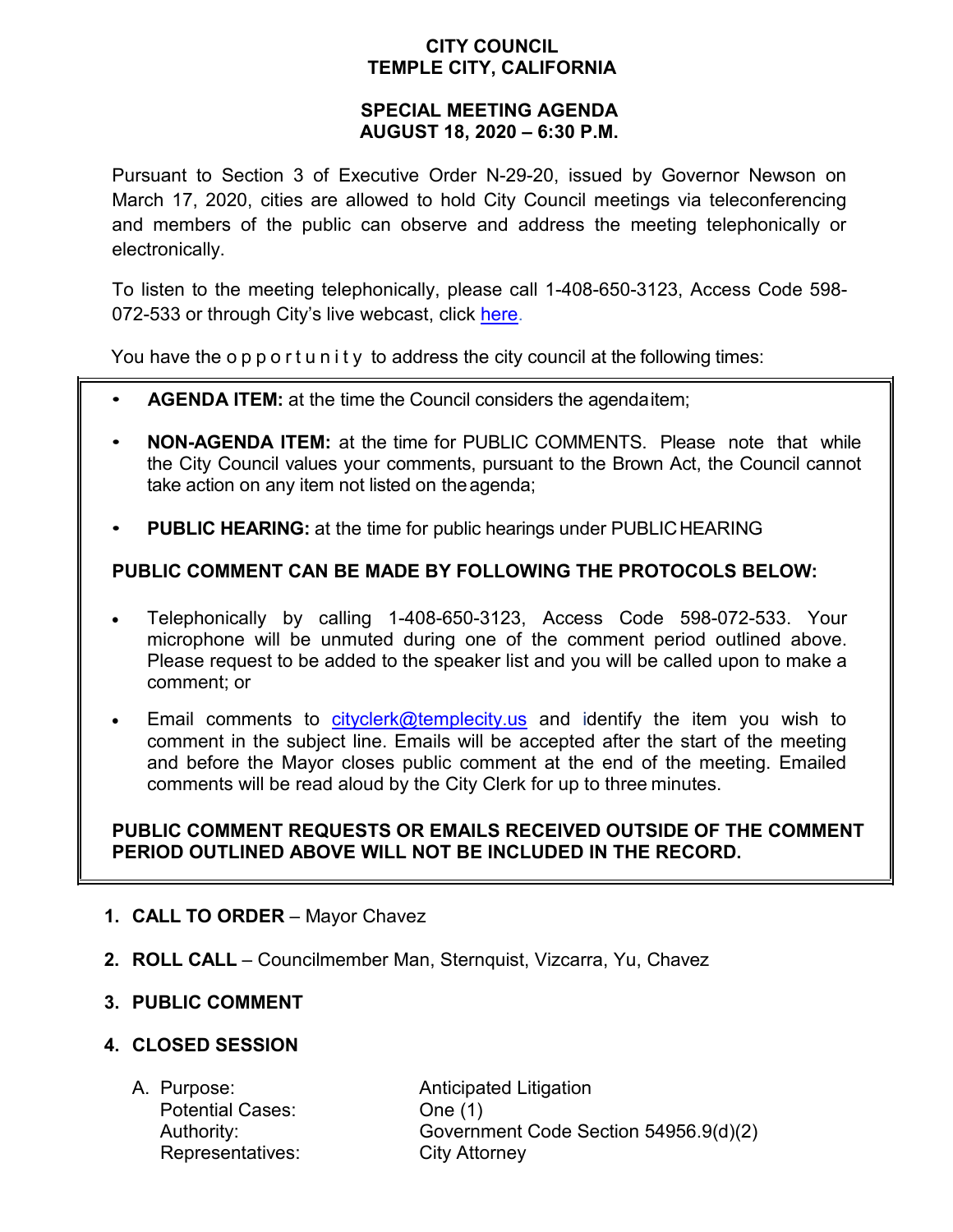## **CITY COUNCIL TEMPLE CITY, CALIFORNIA**

### **SPECIAL MEETING AGENDA AUGUST 18, 2020 – 6:30 P.M.**

Pursuant to Section 3 of Executive Order N-29-20, issued by Governor Newson on March 17, 2020, cities are allowed to hold City Council meetings via teleconferencing and members of the public can observe and address the meeting telephonically or electronically.

To listen to the meeting telephonically, please call 1-408-650-3123, Access Code 598- 072-533 or through City's live webcast, click [here.](https://www.ci.temple-city.ca.us/516/Meeting-Webcast)

You have the opportunity to address the city council at the following times:

- **AGENDA ITEM:** at the time the Council considers the agendaitem;
- **NON-AGENDA ITEM:** at the time for PUBLIC COMMENTS. Please note that while the City Council values your comments, pursuant to the Brown Act, the Council cannot take action on any item not listed on theagenda;
- **PUBLIC HEARING:** at the time for public hearings under PUBLICHEARING

# **PUBLIC COMMENT CAN BE MADE BY FOLLOWING THE PROTOCOLS BELOW:**

- Telephonically by calling 1-408-650-3123, Access Code 598-072-533. Your microphone will be unmuted during one of the comment period outlined above. Please request to be added to the speaker list and you will be called upon to make a comment; or
- Email comments to [cityclerk@templecity.us](mailto:cityclerk@templecity.us) and identify the item you wish to comment in the subject line. Emails will be accepted after the start of the meeting and before the Mayor closes public comment at the end of the meeting. Emailed comments will be read aloud by the City Clerk for up to three minutes.

### **PUBLIC COMMENT REQUESTS OR EMAILS RECEIVED OUTSIDE OF THE COMMENT PERIOD OUTLINED ABOVE WILL NOT BE INCLUDED IN THE RECORD.**

- **1. CALL TO ORDER**  Mayor Chavez
- **2. ROLL CALL**  Councilmember Man, Sternquist, Vizcarra, Yu, Chavez

### **3. PUBLIC COMMENT**

### **4. CLOSED SESSION**

Potential Cases: One (1) Representatives: City Attorney

A. Purpose: **Anticipated Litigation** Authority: Government Code Section 54956.9(d)(2)